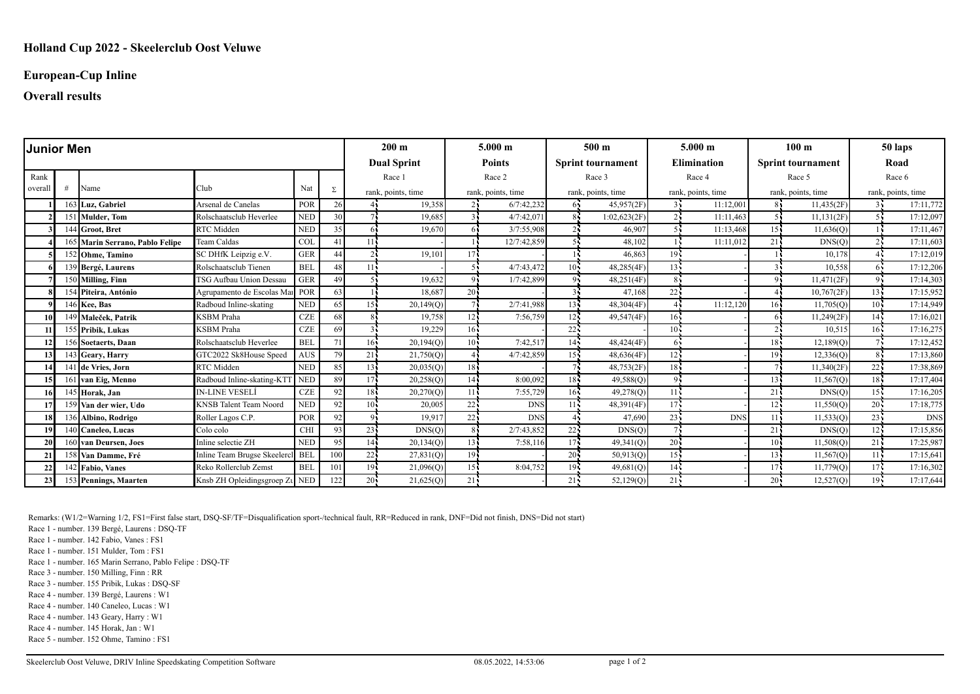### **European-Cup Inline**

### **Overall results**

| <b>Junior Men</b> |   |                                 |                                  |            | $200 \text{ m}$ |                    | $5.000 \; \mathrm{m}$ |                    | 500 <sub>m</sub> |                    | $5.000 \;{\rm m}$        |                    | 100 <sub>m</sub>   |                    | 50 laps                  |                    |            |  |  |
|-------------------|---|---------------------------------|----------------------------------|------------|-----------------|--------------------|-----------------------|--------------------|------------------|--------------------|--------------------------|--------------------|--------------------|--------------------|--------------------------|--------------------|------------|--|--|
|                   |   |                                 |                                  |            |                 |                    | <b>Dual Sprint</b>    |                    | <b>Points</b>    |                    | <b>Sprint tournament</b> |                    | <b>Elimination</b> |                    | <b>Sprint tournament</b> |                    | Road       |  |  |
| Rank              |   |                                 |                                  |            |                 | Race 1             |                       | Race 2             |                  | Race 3             |                          | Race 4             |                    | Race 5             |                          | Race 6             |            |  |  |
| overal            | # | Name                            | Club                             | Nat        | Σ               | rank, points, time |                       | rank, points, time |                  | rank, points, time |                          | rank, points, time |                    | rank, points, time |                          | rank, points, time |            |  |  |
|                   |   | 163 Luz. Gabriel                | Arsenal de Canelas               | POR        | 26              | 44                 | 19,358                | 24                 | 6/7:42,232       | 65                 | 45,957(2F)               | 34                 | 11:12,001          | 81                 | 11,435(2F)               | 34                 | 17:11,772  |  |  |
|                   |   | 151 Mulder, Tom                 | Rolschaatsclub Heverlee          | <b>NED</b> | 30              |                    | 19.685                |                    | 4/7:42.071       |                    | 1:02,623(2F)             |                    | 11:11,463          |                    | 11,131(2F)               | 54                 | 17:12,097  |  |  |
|                   |   | 144 Groot, Bret                 | RTC Midden                       | <b>NED</b> | 35              | 61                 | 19.670                |                    | 3/7:55,908       |                    | 46,907                   |                    | 11:13,468          | 15 <sub>1</sub>    | $\overline{11,636(Q)}$   |                    | 17:11,467  |  |  |
|                   |   | 165 Marin Serrano, Pablo Felipe | Team Caldas                      | <b>COI</b> | 41              | 11 <sup>2</sup>    |                       |                    | 12/7:42,859      |                    | 48,102                   |                    | 11:11.012          | 21                 | DNS(Q)                   |                    | 17:11,603  |  |  |
|                   |   | 152 Ohme, Tamino                | SC DHfK Leipzig e.V.             | <b>GER</b> | 44              |                    | 19,101                | 17 <sub>1</sub>    |                  |                    | 46,863                   | 19                 |                    |                    | 10,178                   |                    | 17:12,019  |  |  |
|                   |   | 139 Bergé, Laurens              | Rolschaatsclub Tienen            | <b>BEL</b> | 48              | 11.                |                       |                    | 4/7:43,472       | 10 <sup>1</sup>    | 48,285(4F)               | 13.5               |                    |                    | 10,558                   |                    | 17:12,206  |  |  |
|                   |   | 150 Milling, Finn               | TSG Aufbau Union Dessau          | <b>GER</b> | 49              |                    | 19.632                | $\Omega$           | 1/7:42,899       |                    | 48,251(4F)               |                    |                    |                    | 11,471(2F)               | 94                 | 17:14,303  |  |  |
|                   |   | 154 Piteira, António            | Agrupamento de Escolas Mai POR   |            | 63              |                    | 18,687                | 20                 |                  |                    | 47,168                   | 22                 |                    |                    | 10,767(2F)               | $13 -$             | 17:15,952  |  |  |
|                   |   | 146 Kee, Bas                    | Radboud Inline-skating           | <b>NED</b> | 65              | 15.                | 20,149(Q)             |                    | 2/7:41,988       | $13 -$             | 48,304(4F)               |                    | 11:12,120          | $16 -$             | 11,705(Q)                | $10 -$             | 17:14,949  |  |  |
| 10                |   | 149 Maleček, Patrik             | <b>KSBM</b> Praha                | <b>CZE</b> | 68              |                    | 19,758                | 12                 | 7:56,759         | 12 <sup>7</sup>    | 49,547(4F)               | 16 <sub>1</sub>    |                    |                    | 11,249(2F)               | $14 -$             | 17:16,021  |  |  |
|                   |   | 155 Pribik, Lukas               | KSBM Praha                       | CZE        | 69              |                    | 19,229                | 16 <sup>1</sup>    |                  | 22                 |                          | 10 <sub>1</sub>    |                    |                    | 10,515                   | 16 <sup>7</sup>    | 17:16,275  |  |  |
| 12 <sup>1</sup>   |   | 156 Soetaerts, Daan             | Rolschaatsclub Heverlee          | <b>BEL</b> | 71              | 16.                | 20,194(Q)             | 10 <sup>1</sup>    | 7:42,517         | $14 -$             | 48,424(4F)               |                    |                    | 18.                | 12,189(Q)                |                    | 17:12,452  |  |  |
| 13 <sup>1</sup>   |   | 143 Geary, Harry                | GTC2022 Sk8House Speed           | <b>AUS</b> | 79              | 21                 | 21,750(Q)             |                    | 4/7:42,859       | $15 -$             | 48,636(4F)               | $12 -$             |                    | 19.                | 12,336(0)                |                    | 17:13,860  |  |  |
|                   |   | 141 de Vries, Jorn              | RTC Midden                       | <b>NED</b> | 85              | 13.                | 20,035(Q)             | 18 <sup>1</sup>    |                  |                    | 48,753(2F)               | $18 -$             |                    |                    | 11,340(2F)               | $22 -$             | 17:38,869  |  |  |
| 15 I              |   | 161 van Eig, Menno              | Radboud Inline-skating-KTT NED   |            | 89              | $17 -$             | 20,258(Q)             | 14 <sup>1</sup>    | 8:00.092         | $18 -$             | 49,588(Q)                |                    |                    | 13 <sub>1</sub>    | 11,567(Q)                | $18 -$             | 17:17,404  |  |  |
| 16 <sup> </sup>   |   | 145 Horak, Jan                  | IN-LINE VESELÍ                   | <b>CZE</b> | 92              | 18.                | 20,270(Q)             | 11                 | 7:55,729         | $16 -$             | 49,278(Q)                | 11                 |                    | 21.                | DNS(Q)                   | 15 <sup>2</sup>    | 17:16,205  |  |  |
|                   |   | 159 Van der wier, Udo           | <b>KNSB</b> Talent Team Noord    | <b>NED</b> | 92              | 10.                | 20,005                | 22:                | <b>DNS</b>       | 11 <sup>1</sup>    | 48,391(4F)               | $17 -$             |                    | 12.5               | 11,550(Q)                | $20 -$             | 17:18,775  |  |  |
| 18                |   | 136 Albino, Rodrigo             | Roller Lagos C.P.                | POR        | 92              | 9                  | 19.917                | 22                 | <b>DNS</b>       |                    | 47,690                   | 23                 | <b>DNS</b>         | 11.5               | 11,533(Q)                | $23 -$             | <b>DNS</b> |  |  |
| 19                |   | 140 Caneleo, Lucas              | Colo colo                        | <b>CHI</b> | 93              | $23 -$             | DNS(Q)                | 8                  | 2/7:43.852       | 22                 | DNS(Q)                   |                    |                    | 21.                | DNS(Q)                   | $12 -$             | 17:15,856  |  |  |
| 20 <sup>1</sup>   |   | 160 van Deursen, Joes           | Inline selectie ZH               | <b>NED</b> | 95              | 141                | 20,134(Q)             | $13 -$             | 7:58,116         | 17 <sup>2</sup>    | 49,341(Q)                | $20 -$             |                    | 10 <sub>1</sub>    | 11,508(Q)                | $21 -$             | 17:25,987  |  |  |
| 21                |   | 158 Van Damme, Fré              | Inline Team Brugse Skeelercl BEL |            | 100             | $22 -$             | 27,831(Q)             | $19 -$             |                  | $20 -$             | 50,913(Q)                | 15 <sup>1</sup>    |                    | $13 -$             | 11,567(Q)                | $11 -$             | 17:15,641  |  |  |
| 22                |   | 142 Fabio, Vanes                | Reko Rollerclub Zemst            | <b>BEL</b> | 101             | 19.                | 21,096(Q)             | 15 <sub>1</sub>    | 8:04,752         | $19 -$             | 49,681(Q)                | 14 <sub>1</sub>    |                    | 17 <sub>1</sub>    | 11,779(Q)                | 17 <sub>1</sub>    | 17:16,302  |  |  |
| 23                |   | 153 Pennings, Maarten           | Knsb ZH Opleidingsgroep Zu NED   |            | 122             | 20:                | 21,625(Q)             | 21                 |                  | 21                 | 52,129(Q)                | 21                 |                    | 20 <sub>1</sub>    | 12,527(Q)                | 19 <sub>1</sub>    | 17:17,644  |  |  |

Remarks: (W1/2=Warning 1/2, FS1=First false start, DSQ-SF/TF=Disqualification sport-/technical fault, RR=Reduced in rank, DNF=Did not finish, DNS=Did not start)

Race 1 - number. 139 Bergé, Laurens : DSQ-TF

Race 1 - number. 142 Fabio, Vanes : FS1

Race 1 - number. 151 Mulder, Tom : FS1

Race 1 - number. 165 Marin Serrano, Pablo Felipe : DSQ-TF

Race 3 - number. 150 Milling, Finn : RR

Race 3 - number. 155 Pribik, Lukas : DSQ-SF

Race 4 - number. 139 Bergé, Laurens : W1

Race 4 - number. 140 Caneleo, Lucas : W1

Race 4 - number. 143 Geary, Harry : W1

Race 4 - number. 145 Horak, Jan : W1